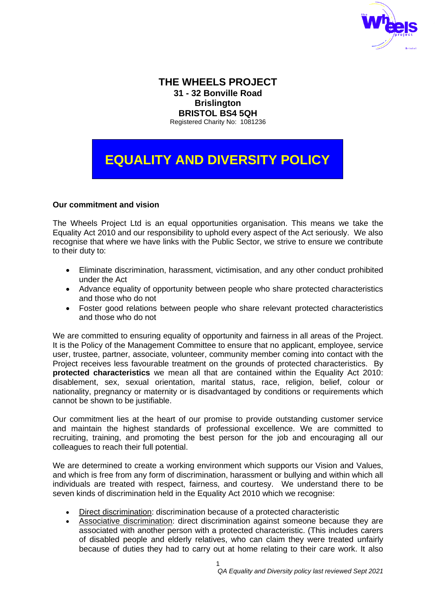

# **THE WHEELS PROJECT 31 - 32 Bonville Road Brislington BRISTOL BS4 5QH** Registered Charity No: 1081236

**EQUALITY AND DIVERSITY POLICY**

### **Our commitment and vision**

The Wheels Project Ltd is an equal opportunities organisation. This means we take the Equality Act 2010 and our responsibility to uphold every aspect of the Act seriously. We also recognise that where we have links with the Public Sector, we strive to ensure we contribute to their duty to:

- Eliminate discrimination, harassment, victimisation, and any other conduct prohibited under the Act
- Advance equality of opportunity between people who share protected characteristics and those who do not
- Foster good relations between people who share relevant protected characteristics and those who do not

We are committed to ensuring equality of opportunity and fairness in all areas of the Project. It is the Policy of the Management Committee to ensure that no applicant, employee, service user, trustee, partner, associate, volunteer, community member coming into contact with the Project receives less favourable treatment on the grounds of protected characteristics. By **protected characteristics** we mean all that are contained within the Equality Act 2010: disablement, sex, sexual orientation, marital status, race, religion, belief, colour or nationality, pregnancy or maternity or is disadvantaged by conditions or requirements which cannot be shown to be justifiable.

Our commitment lies at the heart of our promise to provide outstanding customer service and maintain the highest standards of professional excellence. We are committed to recruiting, training, and promoting the best person for the job and encouraging all our colleagues to reach their full potential.

We are determined to create a working environment which supports our Vision and Values, and which is free from any form of discrimination, harassment or bullying and within which all individuals are treated with respect, fairness, and courtesy. We understand there to be seven kinds of discrimination held in the Equality Act 2010 which we recognise:

- Direct discrimination: discrimination because of a protected characteristic
- Associative discrimination: direct discrimination against someone because they are associated with another person with a protected characteristic. (This includes carers of disabled people and elderly relatives, who can claim they were treated unfairly because of duties they had to carry out at home relating to their care work. It also

1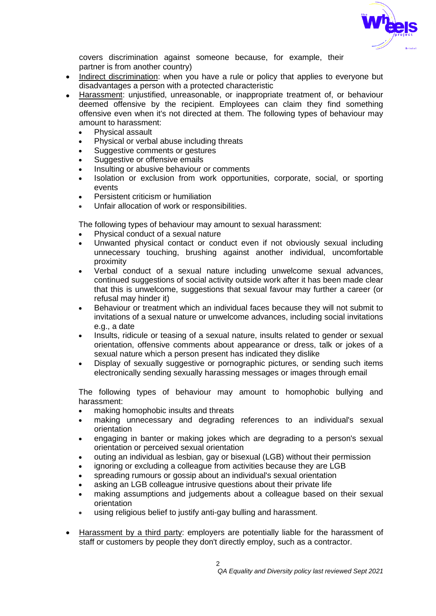

covers discrimination against someone because, for example, their partner is from another country)

- Indirect discrimination: when you have a rule or policy that applies to everyone but disadvantages a person with a protected characteristic
- Harassment: unjustified, unreasonable, or inappropriate treatment of, or behaviour deemed offensive by the recipient. Employees can claim they find something offensive even when it's not directed at them. The following types of behaviour may amount to harassment:
	- Physical assault
	- Physical or verbal abuse including threats
	- Suggestive comments or gestures
	- Suggestive or offensive emails
	- Insulting or abusive behaviour or comments
	- Isolation or exclusion from work opportunities, corporate, social, or sporting events
	- Persistent criticism or humiliation
	- Unfair allocation of work or responsibilities.

The following types of behaviour may amount to sexual harassment:

- Physical conduct of a sexual nature
- Unwanted physical contact or conduct even if not obviously sexual including unnecessary touching, brushing against another individual, uncomfortable proximity
- Verbal conduct of a sexual nature including unwelcome sexual advances, continued suggestions of social activity outside work after it has been made clear that this is unwelcome, suggestions that sexual favour may further a career (or refusal may hinder it)
- Behaviour or treatment which an individual faces because they will not submit to invitations of a sexual nature or unwelcome advances, including social invitations e.g., a date
- Insults, ridicule or teasing of a sexual nature, insults related to gender or sexual orientation, offensive comments about appearance or dress, talk or jokes of a sexual nature which a person present has indicated they dislike
- Display of sexually suggestive or pornographic pictures, or sending such items electronically sending sexually harassing messages or images through email

The following types of behaviour may amount to homophobic bullying and harassment:

- making homophobic insults and threats
- making unnecessary and degrading references to an individual's sexual orientation
- engaging in banter or making jokes which are degrading to a person's sexual orientation or perceived sexual orientation
- outing an individual as lesbian, gay or bisexual (LGB) without their permission
- ignoring or excluding a colleague from activities because they are LGB
- spreading rumours or gossip about an individual's sexual orientation
- asking an LGB colleague intrusive questions about their private life
- making assumptions and judgements about a colleague based on their sexual orientation
- using religious belief to justify anti-gay bulling and harassment.
- Harassment by a third party: employers are potentially liable for the harassment of staff or customers by people they don't directly employ, such as a contractor.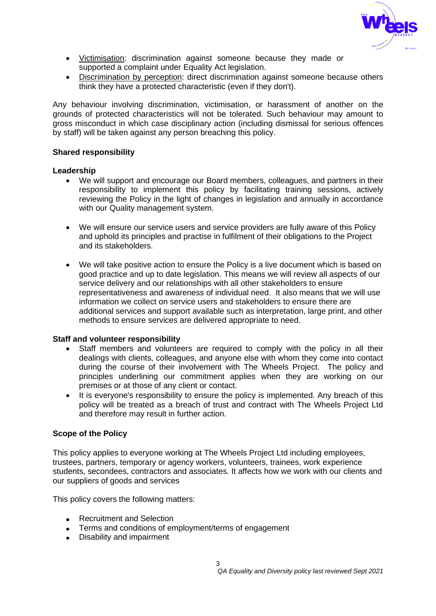

- Victimisation: discrimination against someone because they made or supported a complaint under Equality Act legislation.
- Discrimination by perception: direct discrimination against someone because others think they have a protected characteristic (even if they don't).

Any behaviour involving discrimination, victimisation, or harassment of another on the grounds of protected characteristics will not be tolerated. Such behaviour may amount to gross misconduct in which case disciplinary action (including dismissal for serious offences by staff) will be taken against any person breaching this policy.

#### **Shared responsibility**

#### **Leadership**

- We will support and encourage our Board members, colleagues, and partners in their responsibility to implement this policy by facilitating training sessions, actively reviewing the Policy in the light of changes in legislation and annually in accordance with our Quality management system.
- We will ensure our service users and service providers are fully aware of this Policy and uphold its principles and practise in fulfilment of their obligations to the Project and its stakeholders.
- We will take positive action to ensure the Policy is a live document which is based on good practice and up to date legislation. This means we will review all aspects of our service delivery and our relationships with all other stakeholders to ensure representativeness and awareness of individual need. It also means that we will use information we collect on service users and stakeholders to ensure there are additional services and support available such as interpretation, large print, and other methods to ensure services are delivered appropriate to need.

### **Staff and volunteer responsibility**

- Staff members and volunteers are required to comply with the policy in all their dealings with clients, colleagues, and anyone else with whom they come into contact during the course of their involvement with The Wheels Project. The policy and principles underlining our commitment applies when they are working on our premises or at those of any client or contact.
- It is everyone's responsibility to ensure the policy is implemented. Any breach of this policy will be treated as a breach of trust and contract with The Wheels Project Ltd and therefore may result in further action.

### **Scope of the Policy**

This policy applies to everyone working at The Wheels Project Ltd including employees, trustees, partners, temporary or agency workers, volunteers, trainees, work experience students, secondees, contractors and associates. It affects how we work with our clients and our suppliers of goods and services

This policy covers the following matters:

- Recruitment and Selection
- Terms and conditions of employment/terms of engagement
- Disability and impairment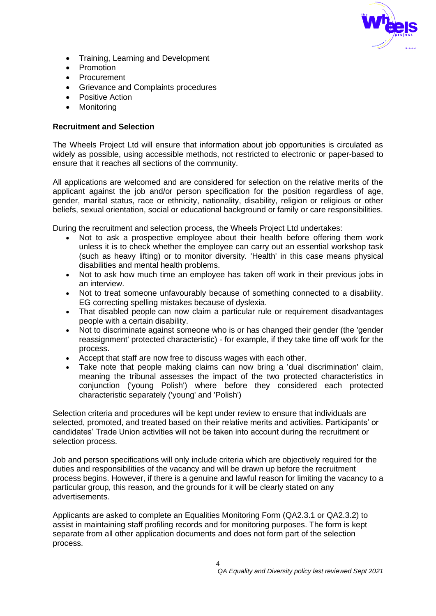

- Training, Learning and Development
- Promotion
- Procurement
- Grievance and Complaints procedures
- Positive Action
- Monitoring

### **Recruitment and Selection**

The Wheels Project Ltd will ensure that information about job opportunities is circulated as widely as possible, using accessible methods, not restricted to electronic or paper-based to ensure that it reaches all sections of the community.

All applications are welcomed and are considered for selection on the relative merits of the applicant against the job and/or person specification for the position regardless of age, gender, marital status, race or ethnicity, nationality, disability, religion or religious or other beliefs, sexual orientation, social or educational background or family or care responsibilities.

During the recruitment and selection process, the Wheels Project Ltd undertakes:

- Not to ask a prospective employee about their health before offering them work unless it is to check whether the employee can carry out an essential workshop task (such as heavy lifting) or to monitor diversity. 'Health' in this case means physical disabilities and mental health problems.
- Not to ask how much time an employee has taken off work in their previous jobs in an interview.
- Not to treat someone unfavourably because of something connected to a disability. EG correcting spelling mistakes because of dyslexia.
- That disabled people can now claim a particular rule or requirement disadvantages people with a certain disability.
- Not to discriminate against someone who is or has changed their gender (the 'gender reassignment' protected characteristic) - for example, if they take time off work for the process.
- Accept that staff are now free to discuss wages with each other.
- Take note that people making claims can now bring a 'dual discrimination' claim, meaning the tribunal assesses the impact of the two protected characteristics in conjunction ('young Polish') where before they considered each protected characteristic separately ('young' and 'Polish')

Selection criteria and procedures will be kept under review to ensure that individuals are selected, promoted, and treated based on their relative merits and activities. Participants' or candidates' Trade Union activities will not be taken into account during the recruitment or selection process.

Job and person specifications will only include criteria which are objectively required for the duties and responsibilities of the vacancy and will be drawn up before the recruitment process begins. However, if there is a genuine and lawful reason for limiting the vacancy to a particular group, this reason, and the grounds for it will be clearly stated on any advertisements.

Applicants are asked to complete an Equalities Monitoring Form (QA2.3.1 or QA2.3.2) to assist in maintaining staff profiling records and for monitoring purposes. The form is kept separate from all other application documents and does not form part of the selection process.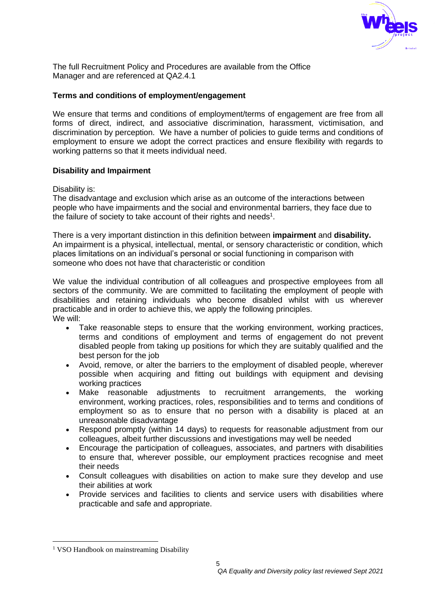

The full Recruitment Policy and Procedures are available from the Office Manager and are referenced at QA2.4.1

### **Terms and conditions of employment/engagement**

We ensure that terms and conditions of employment/terms of engagement are free from all forms of direct, indirect, and associative discrimination, harassment, victimisation, and discrimination by perception. We have a number of policies to guide terms and conditions of employment to ensure we adopt the correct practices and ensure flexibility with regards to working patterns so that it meets individual need.

#### **Disability and Impairment**

Disability is:

The disadvantage and exclusion which arise as an outcome of the interactions between people who have impairments and the social and environmental barriers, they face due to the failure of society to take account of their rights and needs $1$ .

There is a very important distinction in this definition between **impairment** and **disability.** An impairment is a physical, intellectual, mental, or sensory characteristic or condition, which places limitations on an individual's personal or social functioning in comparison with someone who does not have that characteristic or condition

We value the individual contribution of all colleagues and prospective employees from all sectors of the community. We are committed to facilitating the employment of people with disabilities and retaining individuals who become disabled whilst with us wherever practicable and in order to achieve this, we apply the following principles. We will:

- Take reasonable steps to ensure that the working environment, working practices, terms and conditions of employment and terms of engagement do not prevent disabled people from taking up positions for which they are suitably qualified and the best person for the job
- Avoid, remove, or alter the barriers to the employment of disabled people, wherever possible when acquiring and fitting out buildings with equipment and devising working practices
- Make reasonable adjustments to recruitment arrangements, the working environment, working practices, roles, responsibilities and to terms and conditions of employment so as to ensure that no person with a disability is placed at an unreasonable disadvantage
- Respond promptly (within 14 days) to requests for reasonable adjustment from our colleagues, albeit further discussions and investigations may well be needed
- Encourage the participation of colleagues, associates, and partners with disabilities to ensure that, wherever possible, our employment practices recognise and meet their needs
- Consult colleagues with disabilities on action to make sure they develop and use their abilities at work
- Provide services and facilities to clients and service users with disabilities where practicable and safe and appropriate.

<sup>&</sup>lt;sup>1</sup> VSO Handbook on mainstreaming Disability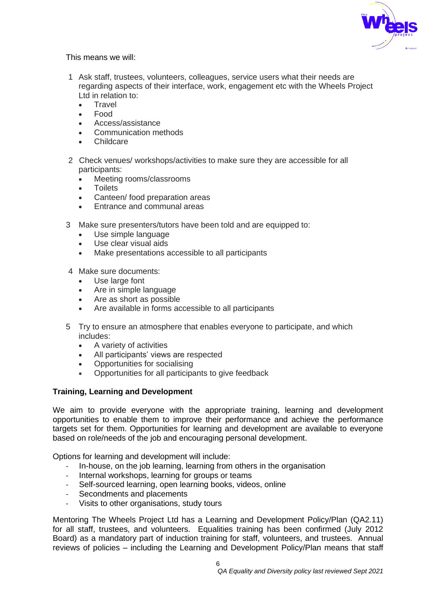

This means we will:

- 1 Ask staff, trustees, volunteers, colleagues, service users what their needs are regarding aspects of their interface, work, engagement etc with the Wheels Project Ltd in relation to:
	- **Travel**
	- Food
	- Access/assistance
	- Communication methods
	- Childcare
- 2 Check venues/ workshops/activities to make sure they are accessible for all participants:
	- Meeting rooms/classrooms
	- **Toilets**
	- Canteen/ food preparation areas
	- Entrance and communal areas
- 3 Make sure presenters/tutors have been told and are equipped to:
	- Use simple language
	- Use clear visual aids
	- Make presentations accessible to all participants
- 4 Make sure documents:
	- Use large font
	- Are in simple language
	- Are as short as possible
	- Are available in forms accessible to all participants
- 5 Try to ensure an atmosphere that enables everyone to participate, and which includes:
	- A variety of activities
	- All participants' views are respected
	- Opportunities for socialising
	- Opportunities for all participants to give feedback

### **Training, Learning and Development**

We aim to provide everyone with the appropriate training, learning and development opportunities to enable them to improve their performance and achieve the performance targets set for them. Opportunities for learning and development are available to everyone based on role/needs of the job and encouraging personal development.

Options for learning and development will include:

- In-house, on the job learning, learning from others in the organisation
- Internal workshops, learning for groups or teams
- Self-sourced learning, open learning books, videos, online
- Secondments and placements
- Visits to other organisations, study tours

Mentoring The Wheels Project Ltd has a Learning and Development Policy/Plan (QA2.11) for all staff, trustees, and volunteers. Equalities training has been confirmed (July 2012 Board) as a mandatory part of induction training for staff, volunteers, and trustees. Annual reviews of policies – including the Learning and Development Policy/Plan means that staff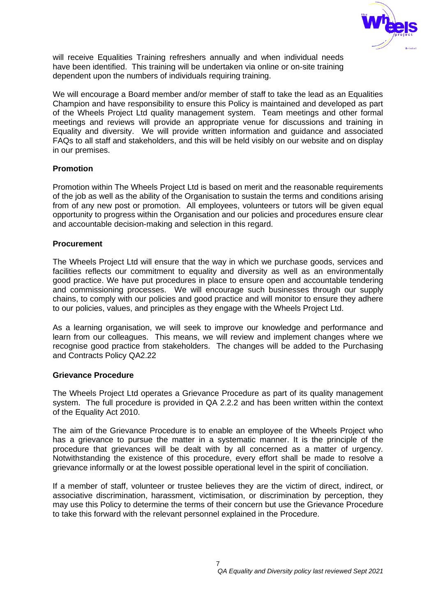

will receive Equalities Training refreshers annually and when individual needs have been identified. This training will be undertaken via online or on-site training dependent upon the numbers of individuals requiring training.

We will encourage a Board member and/or member of staff to take the lead as an Equalities Champion and have responsibility to ensure this Policy is maintained and developed as part of the Wheels Project Ltd quality management system. Team meetings and other formal meetings and reviews will provide an appropriate venue for discussions and training in Equality and diversity. We will provide written information and guidance and associated FAQs to all staff and stakeholders, and this will be held visibly on our website and on display in our premises.

### **Promotion**

Promotion within The Wheels Project Ltd is based on merit and the reasonable requirements of the job as well as the ability of the Organisation to sustain the terms and conditions arising from of any new post or promotion. All employees, volunteers or tutors will be given equal opportunity to progress within the Organisation and our policies and procedures ensure clear and accountable decision-making and selection in this regard.

## **Procurement**

The Wheels Project Ltd will ensure that the way in which we purchase goods, services and facilities reflects our commitment to equality and diversity as well as an environmentally good practice. We have put procedures in place to ensure open and accountable tendering and commissioning processes. We will encourage such businesses through our supply chains, to comply with our policies and good practice and will monitor to ensure they adhere to our policies, values, and principles as they engage with the Wheels Project Ltd.

As a learning organisation, we will seek to improve our knowledge and performance and learn from our colleagues. This means, we will review and implement changes where we recognise good practice from stakeholders. The changes will be added to the Purchasing and Contracts Policy QA2.22

### **Grievance Procedure**

The Wheels Project Ltd operates a Grievance Procedure as part of its quality management system. The full procedure is provided in QA 2.2.2 and has been written within the context of the Equality Act 2010.

The aim of the Grievance Procedure is to enable an employee of the Wheels Project who has a grievance to pursue the matter in a systematic manner. It is the principle of the procedure that grievances will be dealt with by all concerned as a matter of urgency. Notwithstanding the existence of this procedure, every effort shall be made to resolve a grievance informally or at the lowest possible operational level in the spirit of conciliation.

If a member of staff, volunteer or trustee believes they are the victim of direct, indirect, or associative discrimination, harassment, victimisation, or discrimination by perception, they may use this Policy to determine the terms of their concern but use the Grievance Procedure to take this forward with the relevant personnel explained in the Procedure.